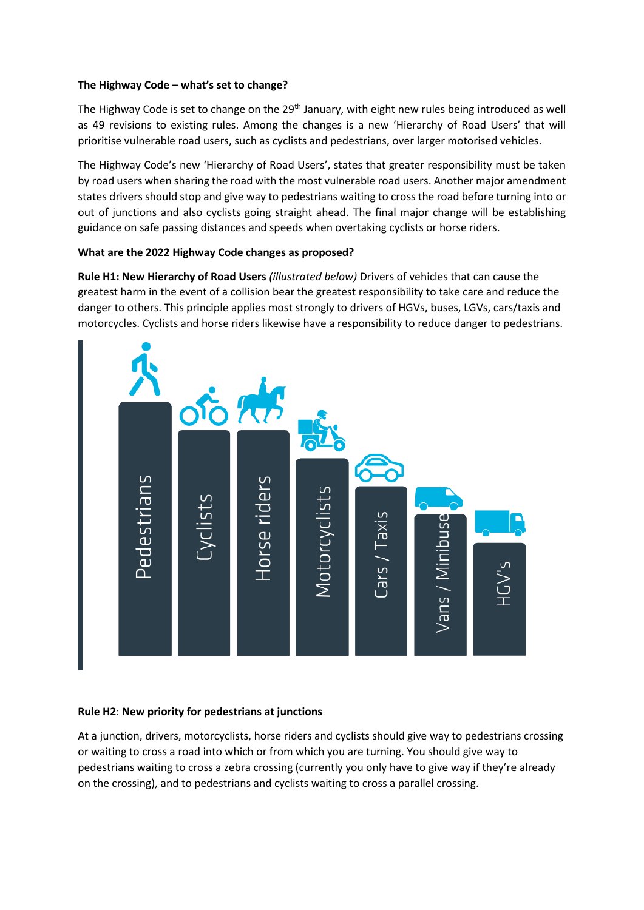## **The Highway Code – what's set to change?**

The Highway Code is set to change on the 29<sup>th</sup> January, with eight new rules being introduced as well as 49 revisions to existing rules. Among the changes is a new 'Hierarchy of Road Users' that will prioritise vulnerable road users, such as cyclists and pedestrians, over larger motorised vehicles.

The Highway Code's new 'Hierarchy of Road Users', states that greater responsibility must be taken by road users when sharing the road with the most vulnerable road users. Another major amendment states drivers should stop and give way to pedestrians waiting to cross the road before turning into or out of junctions and also cyclists going straight ahead. The final major change will be establishing guidance on safe passing distances and speeds when overtaking cyclists or horse riders.

## **What are the 2022 Highway Code changes as proposed?**

**Rule H1: New Hierarchy of Road Users** *(illustrated below)* Drivers of vehicles that can cause the greatest harm in the event of a collision bear the greatest responsibility to take care and reduce the danger to others. This principle applies most strongly to drivers of HGVs, buses, LGVs, cars/taxis and motorcycles. Cyclists and horse riders likewise have a responsibility to reduce danger to pedestrians.



## **Rule H2**: **New priority for pedestrians at junctions**

At a junction, drivers, motorcyclists, horse riders and cyclists should give way to pedestrians crossing or waiting to cross a road into which or from which you are turning. You should give way to pedestrians waiting to cross a zebra crossing (currently you only have to give way if they're already on the crossing), and to pedestrians and cyclists waiting to cross a parallel crossing.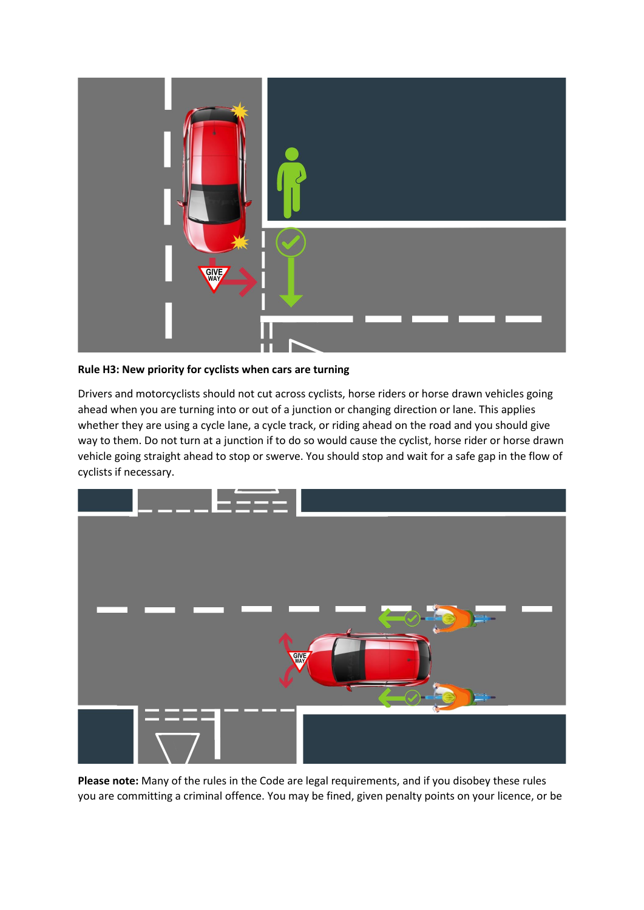

**Rule H3: New priority for cyclists when cars are turning**

Drivers and motorcyclists should not cut across cyclists, horse riders or horse drawn vehicles going ahead when you are turning into or out of a junction or changing direction or lane. This applies whether they are using a cycle lane, a cycle track, or riding ahead on the road and you should give way to them. Do not turn at a junction if to do so would cause the cyclist, horse rider or horse drawn vehicle going straight ahead to stop or swerve. You should stop and wait for a safe gap in the flow of cyclists if necessary.



**Please note:** Many of the rules in the Code are legal requirements, and if you disobey these rules you are committing a criminal offence. You may be fined, given penalty points on your licence, or be